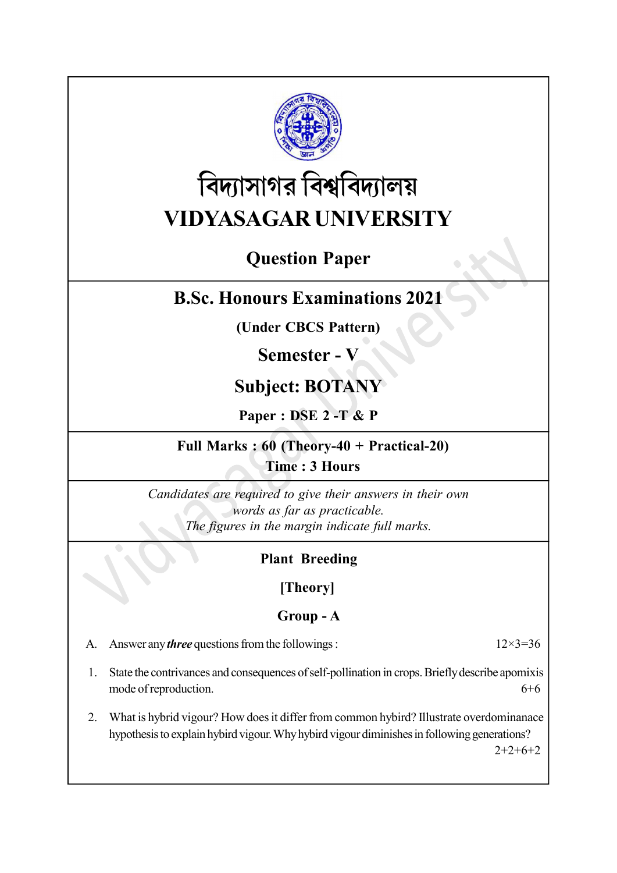

# বিদ্যাসাগর বিশ্ববিদ্যালয় VIDYASAGAR UNIVERSITY

# Question Paper

# B.Sc. Honours Examinations 2021

(Under CBCS Pattern)

# Semester - V

# Subject: BOTANY

Paper : DSE 2 -T & P

#### Full Marks : 60 (Theory-40 + Practical-20) Time : 3 Hours

Candidates are required to give their answers in their own words as far as practicable. The figures in the margin indicate full marks.

### Plant Breeding

[Theory]

#### Group - A

A. Answer any *three* questions from the followings :  $12 \times 3 = 36$ 

- 1. State the contrivances and consequences of self-pollination in crops. Briefly describe apomixis mode of reproduction. 6+6
- 2. What is hybrid vigour? How does it differ from common hybird? Illustrate overdominanace hypothesis to explain hybird vigour. Why hybird vigour diminishes in following generations?

 $2+2+6+2$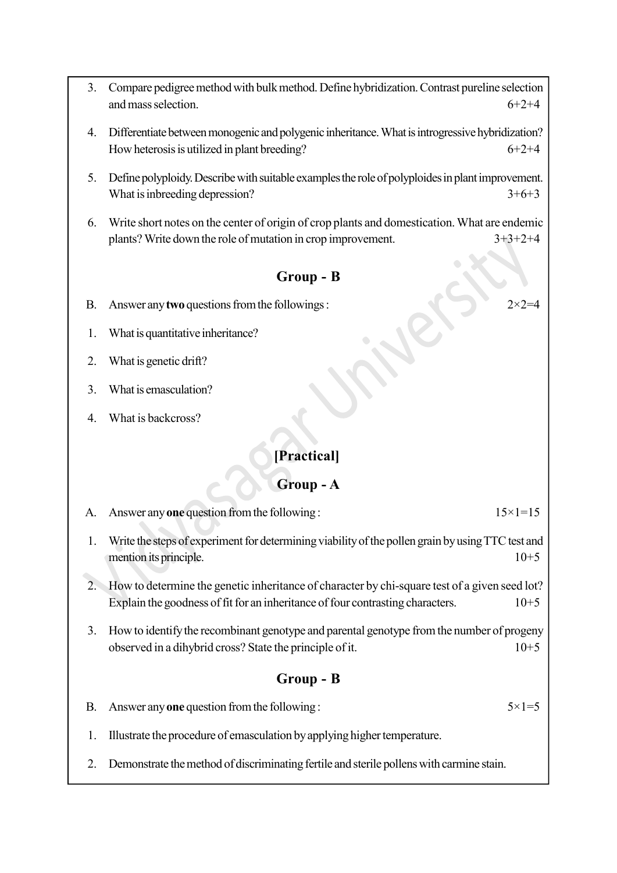- 3. Compare pedigree method with bulk method. Define hybridization. Contrast pureline selection and mass selection.  $6+2+4$
- 4. Differentiate between monogenic and polygenic inheritance. What is introgressive hybridization? How heterosis is utilized in plant breeding?  $6+2+4$
- 5. Define polyploidy. Describe with suitable examples the role of polyploides in plant improvement. What is inbreeding depression?  $3+6+3$
- 6. Write short notes on the center of origin of crop plants and domestication. What are endemic plants? Write down the role of mutation in crop improvement. 3+3+2+4

#### Group - B

- B. Answer any two questions from the followings :  $2 \times 2 = 4$
- 1. What is quantitative inheritance?
- 2. What is genetic drift?
- 3. What is emasculation?
- 4. What is backcross?

#### [Practical]

#### Group - A

A. Answer any one question from the following :  $15\times1=15$ 

- 1. Write the steps of experiment for determining viability of the pollen grain by using TTC test and mention its principle. 10+5
- 2. How to determine the genetic inheritance of character by chi-square test of a given seed lot? Explain the goodness of fit for an inheritance of four contrasting characters.  $10+5$
- 3. How to identify the recombinant genotype and parental genotype from the number of progeny observed in a dihybrid cross? State the principle of it. 10+5

#### Group - B

- B. Answer any one question from the following :  $5 \times 1 = 5$
- 1. Illustrate the procedure of emasculation by applying higher temperature.
- 2. Demonstrate the method of discriminating fertile and sterile pollens with carmine stain.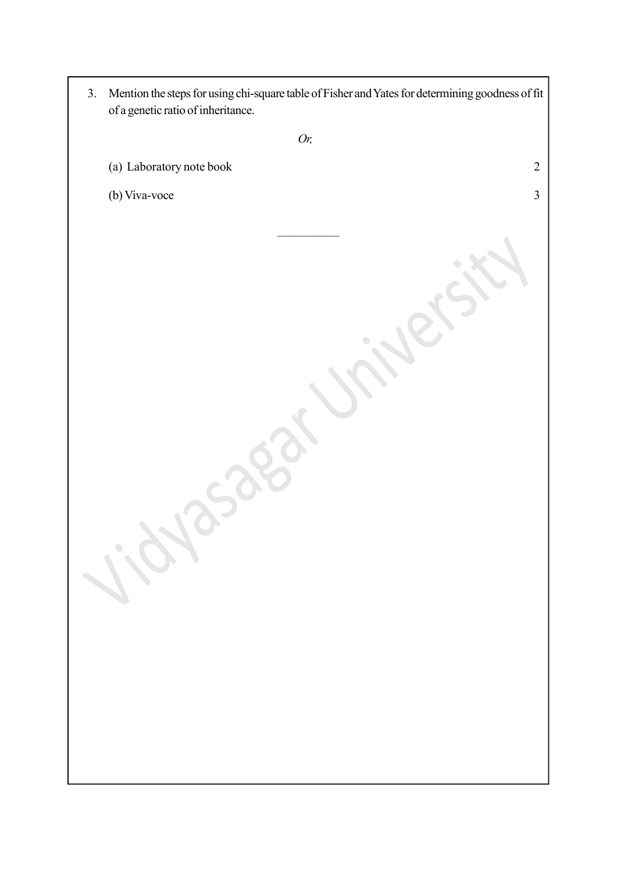| 3. | Mention the steps for using chi-square table of Fisher and Yates for determining goodness of fit<br>of a genetic ratio of inheritance. |
|----|----------------------------------------------------------------------------------------------------------------------------------------|
|    | Or,                                                                                                                                    |
|    | (a) Laboratory note book<br>$\overline{2}$                                                                                             |
|    | (b) Viva-voce<br>3                                                                                                                     |
|    | 1.by                                                                                                                                   |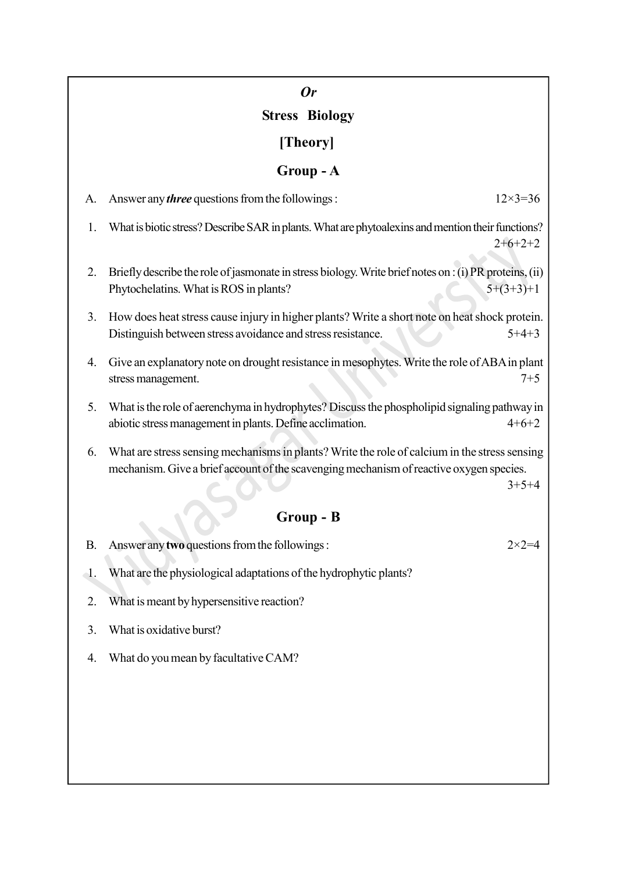### Or

# Stress Biology

# [Theory]

# Group - A

| A.        | Answer any <i>three</i> questions from the followings:                                                                                                                                   | $12 \times 3 = 36$ |
|-----------|------------------------------------------------------------------------------------------------------------------------------------------------------------------------------------------|--------------------|
| 1.        | What is biotic stress? Describe SAR in plants. What are phytoalexins and mention their functions?                                                                                        | $2+6+2+2$          |
| 2.        | Briefly describe the role of jasmonate in stress biology. Write brief notes on : (i) PR proteins, (ii)<br>Phytochelatins. What is ROS in plants?                                         | $5+(3+3)+1$        |
| 3.        | How does heat stress cause injury in higher plants? Write a short note on heat shock protein.<br>Distinguish between stress avoidance and stress resistance.                             | $5+4+3$            |
| 4.        | Give an explanatory note on drought resistance in mesophytes. Write the role of ABA in plant<br>stress management.                                                                       | $7 + 5$            |
| 5.        | What is the role of aerenchyma in hydrophytes? Discuss the phospholipid signaling pathway in<br>abiotic stress management in plants. Define acclimation.                                 | $4+6+2$            |
| 6.        | What are stress sensing mechanisms in plants? Write the role of calcium in the stress sensing<br>mechanism. Give a brief account of the scavenging mechanism of reactive oxygen species. | $3+5+4$            |
| Group - B |                                                                                                                                                                                          |                    |
| Β.        | Answer any two questions from the followings:                                                                                                                                            | $2 \times 2 = 4$   |
| 1.        | What are the physiological adaptations of the hydrophytic plants?                                                                                                                        |                    |
| 2.        | What is meant by hypersensitive reaction?                                                                                                                                                |                    |

- 3. What is oxidative burst?
- 4. What do you mean by facultative CAM?